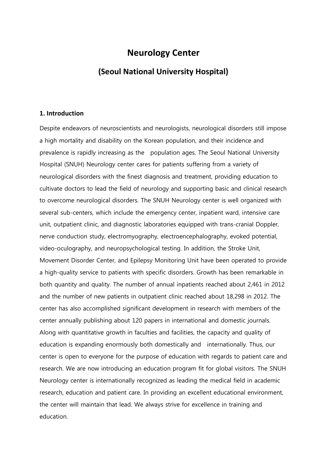## **Neurology Center**

### **(Seoul National University Hospital)**

#### **1. Introduction**

Despite endeavors of neuroscientists and neurologists, neurological disorders still impose a high mortality and disability on the Korean population, and their incidence and prevalence is rapidly increasing as the population ages. The Seoul National University Hospital (SNUH) Neurology center cares for patients suffering from a variety of neurological disorders with the finest diagnosis and treatment, providing education to cultivate doctors to lead the field of neurology and supporting basic and clinical research to overcome neurological disorders. The SNUH Neurology center is well organized with several sub-centers, which include the emergency center, inpatient ward, intensive care unit, outpatient clinic, and diagnostic laboratories equipped with trans-cranial Doppler, nerve conduction study, electromyography, electroencephalography, evoked potential, video-oculography, and neuropsychological testing. In addition, the Stroke Unit, Movement Disorder Center, and Epilepsy Monitoring Unit have been operated to provide a high-quality service to patients with specific disorders. Growth has been remarkable in both quantity and quality. The number of annual inpatients reached about 2,461 in 2012 and the number of new patients in outpatient clinic reached about 18,298 in 2012. The center has also accomplished significant development in research with members of the center annually publishing about 120 papers in international and domestic journals. Along with quantitative growth in faculties and facilities, the capacity and quality of education is expanding enormously both domestically and internationally. Thus, our center is open to everyone for the purpose of education with regards to patient care and research. We are now introducing an education program fit for global visitors. The SNUH Neurology center is internationally recognized as leading the medical field in academic research, education and patient care. In providing an excellent educational environment, the center will maintain that lead. We always strive for excellence in training and education.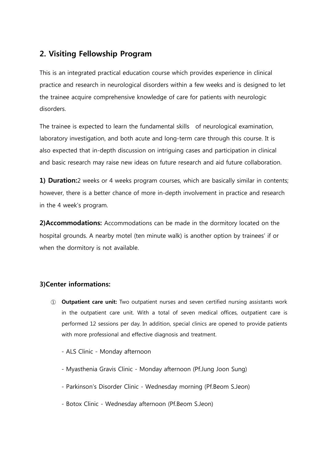## 2. Visiting Fellowship Program

This is an integrated practical education course which provides experience in clinical practice and research in neurological disorders within a few weeks and is designed to let the trainee acquire comprehensive knowledge of care for patients with neurologic disorders.

The trainee is expected to learn the fundamental skills of neurological examination, laboratory investigation, and both acute and long-term care through this course. It is also expected that in-depth discussion on intriguing cases and participation in clinical and basic research may raise new ideas on future research and aid future collaboration.

1) Duration:2 weeks or 4 weeks program courses, which are basically similar in contents; however, there is a better chance of more in-depth involvement in practice and research in the 4 week's program.

2)Accommodations: Accommodations can be made in the dormitory located on the hospital grounds. A nearby motel (ten minute walk) is another option by trainees' if or when the dormitory is not available.

### 3)Center informations:

- ① Outpatient care unit: Two outpatient nurses and seven certified nursing assistants work in the outpatient care unit. With a total of seven medical offices, outpatient care is performed 12 sessions per day. In addition, special clinics are opened to provide patients with more professional and effective diagnosis and treatment.
	- ALS Clinic Monday afternoon
	- Myasthenia Gravis Clinic Monday afternoon (Pf.Jung Joon Sung)
	- Parkinson's Disorder Clinic Wednesday morning (Pf.Beom S.Jeon)
	- Botox Clinic Wednesday afternoon (Pf.Beom S.Jeon)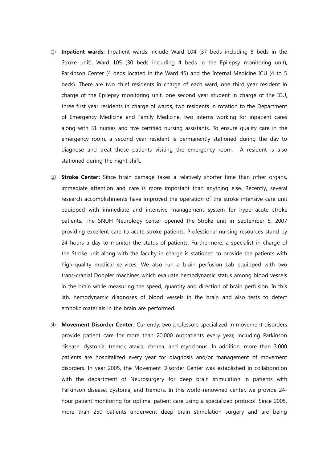- ② Inpatient wards: Inpatient wards include Ward 104 (37 beds including 5 beds in the Stroke unit), Ward 105 (30 beds including 4 beds in the Epilepsy monitoring unit), Parkinson Center (4 beds located in the Ward 45) and the Internal Medicine ICU (4 to 5 beds). There are two chief residents in charge of each ward, one third year resident in charge of the Epilepsy monitoring unit, one second year student in charge of the ICU, three first year residents in charge of wards, two residents in rotation to the Department of Emergency Medicine and Family Medicine, two interns working for inpatient cares along with 31 nurses and five certified nursing assistants. To ensure quality care in the emergency room, a second year resident is permanently stationed during the day to diagnose and treat those patients visiting the emergency room. A resident is also stationed during the night shift.
- ③ Stroke Center: Since brain damage takes a relatively shorter time than other organs, immediate attention and care is more important than anything else. Recently, several research accomplishments have improved the operation of the stroke intensive care unit equipped with immediate and intensive management system for hyper-acute stroke patients. The SNUH Neurology center opened the Stroke unit in September 5, 2007 providing excellent care to acute stroke patients. Professional nursing resources stand by 24 hours a day to monitor the status of patients. Furthermore, a specialist in charge of the Stroke unit along with the faculty in charge is stationed to provide the patients with high-quality medical services. We also run a brain perfusion Lab equipped with two trans-cranial Doppler machines which evaluate hemodynamic status among blood vessels in the brain while measuring the speed, quantity and direction of brain perfusion. In this lab, hemodynamic diagnoses of blood vessels in the brain and also tests to detect embolic materials in the brain are performed.
- ④ Movement Disorder Center: Currently, two professors specialized in movement disorders provide patient care for more than 20,000 outpatients every year, including Parkinson disease, dystonia, tremor, ataxia, chorea, and myoclonus. In addition, more than 3,000 patients are hospitalized every year for diagnosis and/or management of movement disorders. In year 2005, the Movement Disorder Center was established in collaboration with the department of Neurosurgery for deep brain stimulation in patients with Parkinson disease, dystonia, and tremors. In this world-renowned center, we provide 24 hour patient monitoring for optimal patient care using a specialized protocol. Since 2005, more than 250 patients underwent deep brain stimulation surgery and are being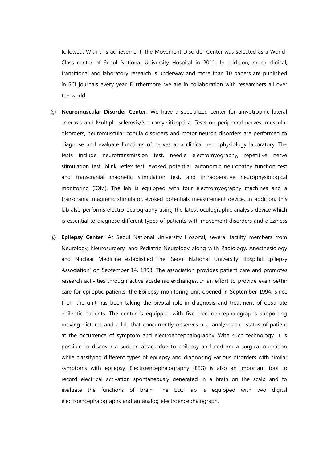followed. With this achievement, the Movement Disorder Center was selected as a World-Class center of Seoul National University Hospital in 2011. In addition, much clinical, transitional and laboratory research is underway and more than 10 papers are published in SCI journals every year. Furthermore, we are in collaboration with researchers all over the world.

- ⑤ Neuromuscular Disorder Center: We have a specialized center for amyotrophic lateral sclerosis and Multiple sclerosis/Neuromyelitisoptica. Tests on peripheral nerves, muscular disorders, neuromuscular copula disorders and motor neuron disorders are performed to diagnose and evaluate functions of nerves at a clinical neurophysiology laboratory. The tests include neurotransmission test, needle electromyography, repetitive nerve stimulation test, blink reflex test, evoked potential, autonomic neuropathy function test and transcranial magnetic stimulation test, and intraoperative neurophysiological monitoring (IOM). The lab is equipped with four electromyography machines and a transcranial magnetic stimulator, evoked potentials measurement device. In addition, this lab also performs electro-oculography using the latest oculographic analysis device which is essential to diagnose different types of patients with movement disorders and dizziness.
- ⑥ Epilepsy Center: At Seoul National University Hospital, several faculty members from Neurology, Neurosurgery, and Pediatric Neurology along with Radiology, Anesthesiology and Nuclear Medicine established the 'Seoul National University Hospital Epilepsy Association' on September 14, 1993. The association provides patient care and promotes research activities through active academic exchanges. In an effort to provide even better care for epileptic patients, the Epilepsy monitoring unit opened in September 1994. Since then, the unit has been taking the pivotal role in diagnosis and treatment of obstinate epileptic patients. The center is equipped with five electroencephalographs supporting moving pictures and a lab that concurrently observes and analyzes the status of patient at the occurrence of symptom and electroencephalography. With such technology, it is possible to discover a sudden attack due to epilepsy and perform a surgical operation while classifying different types of epilepsy and diagnosing various disorders with similar symptoms with epilepsy. Electroencephalography (EEG) is also an important tool to record electrical activation spontaneously generated in a brain on the scalp and to evaluate the functions of brain. The EEG lab is equipped with two digital electroencephalographs and an analog electroencephalograph.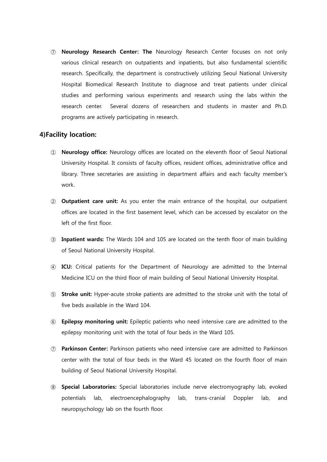⑦ Neurology Research Center: The Neurology Research Center focuses on not only various clinical research on outpatients and inpatients, but also fundamental scientific research. Specifically, the department is constructively utilizing Seoul National University Hospital Biomedical Research Institute to diagnose and treat patients under clinical studies and performing various experiments and research using the labs within the research center. Several dozens of researchers and students in master and Ph.D. programs are actively participating in research.

#### 4)Facility location:

- ① Neurology office: Neurology offices are located on the eleventh floor of Seoul National University Hospital. It consists of faculty offices, resident offices, administrative office and library. Three secretaries are assisting in department affairs and each faculty member's work.
- ② Outpatient care unit: As you enter the main entrance of the hospital, our outpatient offices are located in the first basement level, which can be accessed by escalator on the left of the first floor.
- ③ Inpatient wards: The Wards 104 and 105 are located on the tenth floor of main building of Seoul National University Hospital.
- ④ ICU: Critical patients for the Department of Neurology are admitted to the Internal Medicine ICU on the third floor of main building of Seoul National University Hospital.
- ⑤ Stroke unit: Hyper-acute stroke patients are admitted to the stroke unit with the total of five beds available in the Ward 104.
- ⑥ Epilepsy monitoring unit: Epileptic patients who need intensive care are admitted to the epilepsy monitoring unit with the total of four beds in the Ward 105.
- ⑦ Parkinson Center: Parkinson patients who need intensive care are admitted to Parkinson center with the total of four beds in the Ward 45 located on the fourth floor of main building of Seoul National University Hospital.
- ⑧ Special Laboratories: Special laboratories include nerve electromyography lab, evoked potentials lab, electroencephalography lab, trans-cranial Doppler lab, and neuropsychology lab on the fourth floor.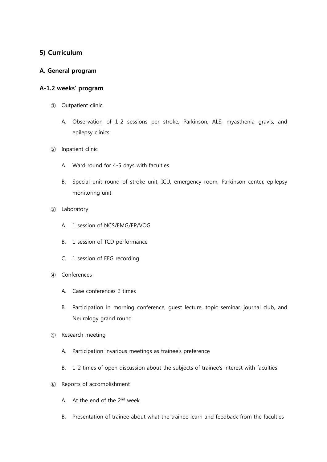### 5) Curriculum

#### A. General program

#### A-1.2 weeks' program

- ① Outpatient clinic
	- A. Observation of 1-2 sessions per stroke, Parkinson, ALS, myasthenia gravis, and epilepsy clinics.
- ② Inpatient clinic
	- A. Ward round for 4-5 days with faculties
	- B. Special unit round of stroke unit, ICU, emergency room, Parkinson center, epilepsy monitoring unit
- ③ Laboratory
	- A. 1 session of NCS/EMG/EP/VOG
	- B. 1 session of TCD performance
	- C. 1 session of EEG recording
- ④ Conferences
	- A. Case conferences 2 times
	- B. Participation in morning conference, guest lecture, topic seminar, journal club, and Neurology grand round
- ⑤ Research meeting
	- A. Participation invarious meetings as trainee's preference
	- B. 1-2 times of open discussion about the subjects of trainee's interest with faculties
- ⑥ Reports of accomplishment
	- A. At the end of the 2nd week
	- B. Presentation of trainee about what the trainee learn and feedback from the faculties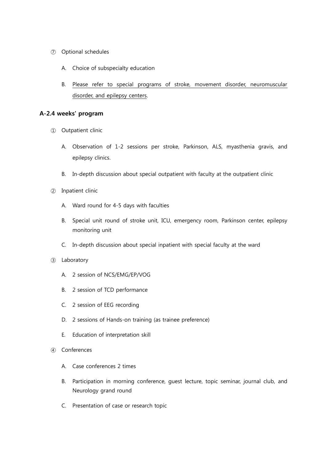- ⑦ Optional schedules
	- A. Choice of subspecialty education
	- B. Please refer to special programs of stroke, movement disorder, neuromuscular disorder, and epilepsy centers.

#### A-2.4 weeks' program

- ① Outpatient clinic
	- A. Observation of 1-2 sessions per stroke, Parkinson, ALS, myasthenia gravis, and epilepsy clinics.
	- B. In-depth discussion about special outpatient with faculty at the outpatient clinic
- ② Inpatient clinic
	- A. Ward round for 4-5 days with faculties
	- B. Special unit round of stroke unit, ICU, emergency room, Parkinson center, epilepsy monitoring unit
	- C. In-depth discussion about special inpatient with special faculty at the ward
- ③ Laboratory
	- A. 2 session of NCS/EMG/EP/VOG
	- B. 2 session of TCD performance
	- C. 2 session of EEG recording
	- D. 2 sessions of Hands-on training (as trainee preference)
	- E. Education of interpretation skill
- ④ Conferences
	- A. Case conferences 2 times
	- B. Participation in morning conference, guest lecture, topic seminar, journal club, and Neurology grand round
	- C. Presentation of case or research topic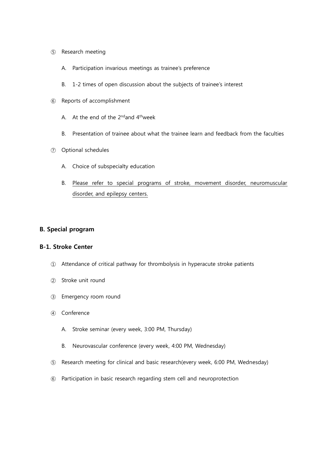- ⑤ Research meeting
	- A. Participation invarious meetings as trainee's preference
	- B. 1-2 times of open discussion about the subjects of trainee's interest
- ⑥ Reports of accomplishment
	- A. At the end of the  $2^{nd}$  and  $4^{th}$  week
	- B. Presentation of trainee about what the trainee learn and feedback from the faculties
- ⑦ Optional schedules
	- A. Choice of subspecialty education
	- B. Please refer to special programs of stroke, movement disorder, neuromuscular disorder, and epilepsy centers.

#### B. Special program

#### B-1. Stroke Center

- ① Attendance of critical pathway for thrombolysis in hyperacute stroke patients
- ② Stroke unit round
- ③ Emergency room round
- ④ Conference
	- A. Stroke seminar (every week, 3:00 PM, Thursday)
	- B. Neurovascular conference (every week, 4:00 PM, Wednesday)
- ⑤ Research meeting for clinical and basic research(every week, 6:00 PM, Wednesday)
- ⑥ Participation in basic research regarding stem cell and neuroprotection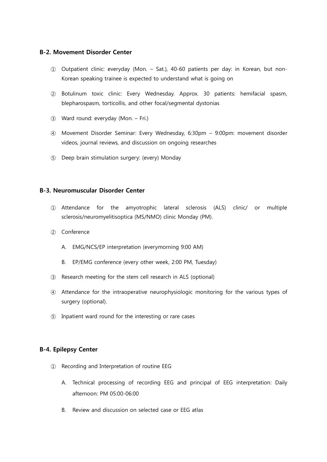#### B-2. Movement Disorder Center

- ① Outpatient clinic: everyday (Mon. Sat.), 40-60 patients per day: in Korean, but non-Korean speaking trainee is expected to understand what is going on
- ② Botulinum toxic clinic: Every Wednesday. Approx. 30 patients: hemifacial spasm, blepharospasm, torticollis, and other focal/segmental dystonias
- ③ Ward round: everyday (Mon. Fri.)
- ④ Movement Disorder Seminar: Every Wednesday, 6:30pm 9:00pm: movement disorder videos, journal reviews, and discussion on ongoing researches
- ⑤ Deep brain stimulation surgery: (every) Monday

#### B-3. Neuromuscular Disorder Center

- ① Attendance for the amyotrophic lateral sclerosis (ALS) clinic/ or multiple sclerosis/neuromyelitisoptica (MS/NMO) clinic Monday (PM).
- ② Conference
	- A. EMG/NCS/EP interpretation (everymorning 9:00 AM)
	- B. EP/EMG conference (every other week, 2:00 PM, Tuesday)
- ③ Research meeting for the stem cell research in ALS (optional)
- ④ Attendance for the intraoperative neurophysiologic monitoring for the various types of surgery (optional).
- ⑤ Inpatient ward round for the interesting or rare cases

#### B-4. Epilepsy Center

- ① Recording and Interpretation of routine EEG
	- A. Technical processing of recording EEG and principal of EEG interpretation: Daily afternoon: PM 05:00-06:00
	- B. Review and discussion on selected case or EEG atlas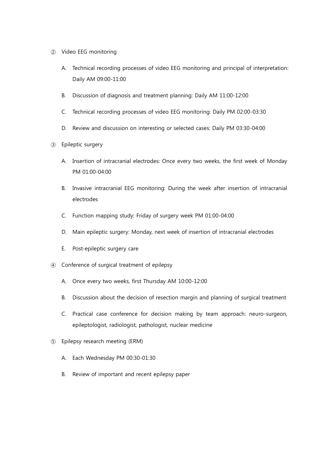- ② Video EEG monitoring
	- A. Technical recording processes of video EEG monitoring and principal of interpretation: Daily AM 09:00-11:00
	- B. Discussion of diagnosis and treatment planning: Daily AM 11:00-12:00
	- C. Technical recording processes of video EEG monitoring: Daily PM 02:00-03:30
	- D. Review and discussion on interesting or selected cases: Daily PM 03:30-04:00
- ③ Epileptic surgery
	- A. Insertion of intracranial electrodes: Once every two weeks, the first week of Monday PM 01:00-04:00
	- B. Invasive intracranial EEG monitoring: During the week after insertion of intracranial electrodes
	- C. Function mapping study: Friday of surgery week PM 01:00-04:00
	- D. Main epileptic surgery: Monday, next week of insertion of intracranial electrodes
	- E. Post-epileptic surgery care
- ④ Conference of surgical treatment of epilepsy
	- A. Once every two weeks, first Thursday AM 10:00-12:00
	- B. Discussion about the decision of resection margin and planning of surgical treatment
	- C. Practical case conference for decision making by team approach: neuro-surgeon, epileptologist, radiologist, pathologist, nuclear medicine
- ⑤ Epilepsy research meeting (ERM)
	- A. Each Wednesday PM 00:30-01:30
	- B. Review of important and recent epilepsy paper